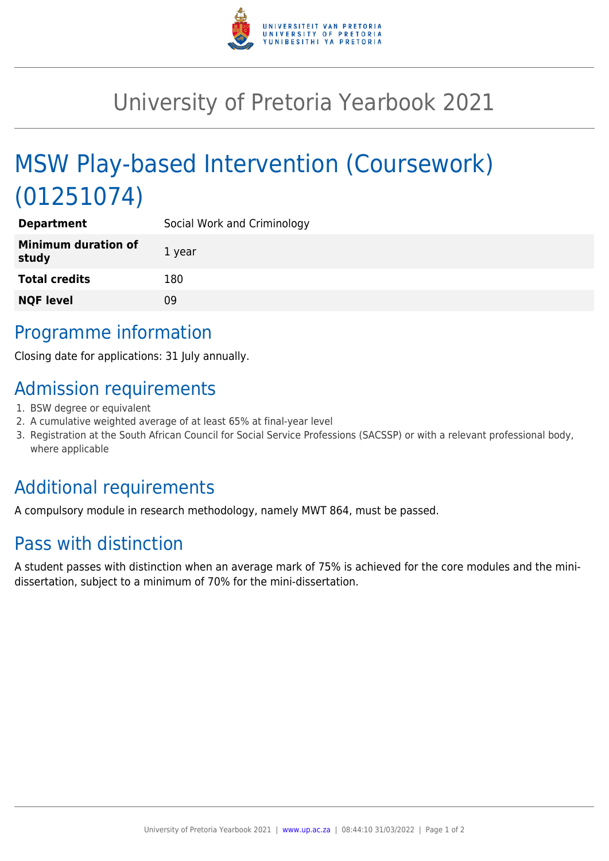

## University of Pretoria Yearbook 2021

# MSW Play-based Intervention (Coursework) (01251074)

| <b>Department</b>                   | Social Work and Criminology |
|-------------------------------------|-----------------------------|
| <b>Minimum duration of</b><br>study | 1 year                      |
| <b>Total credits</b>                | 180                         |
| <b>NQF level</b>                    | 09                          |
|                                     |                             |

### Programme information

Closing date for applications: 31 July annually.

## Admission requirements

- 1. BSW degree or equivalent
- 2. A cumulative weighted average of at least 65% at final-year level
- 3. Registration at the South African Council for Social Service Professions (SACSSP) or with a relevant professional body, where applicable

#### Additional requirements

A compulsory module in research methodology, namely MWT 864, must be passed.

#### Pass with distinction

A student passes with distinction when an average mark of 75% is achieved for the core modules and the minidissertation, subject to a minimum of 70% for the mini-dissertation.